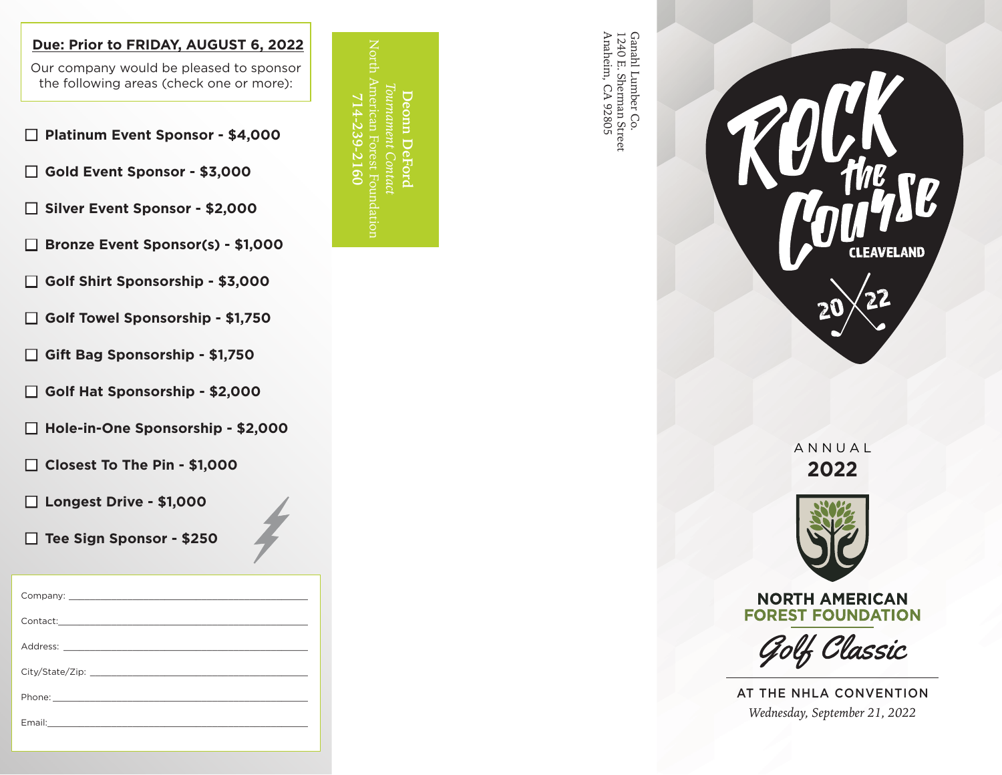## **Due: Prior to FRIDAY, AUGUST 6, 2022**

Our company would be pleased to sponsor the following areas (check one or more):

n **Platinum Event Sponsor - \$4,000**

n **Gold Event Sponsor - \$3,000**

□ Silver Event Sponsor - \$2,000

□ Bronze Event Sponsor(s) - \$1,000

- n **Golf Shirt Sponsorship \$3,000**
- n **Golf Towel Sponsorship \$1,750**
- n **Gift Bag Sponsorship \$1,750**
- n **Golf Hat Sponsorship \$2,000**
- n **Hole-in-One Sponsorship \$2,000**
- □ Closest To The Pin \$1,000

□ Longest Drive - \$1,000

□ Tee Sign Sponsor - \$250

Company: Contact: Address: City/State/Zip: Phone: Email:\_\_\_\_\_\_\_\_\_\_\_\_\_\_\_\_\_\_\_\_\_\_\_\_\_\_\_\_\_\_\_\_\_\_\_\_\_\_\_\_\_\_\_\_\_\_\_\_\_

North American Forest Foundation *Tournament Contact* **Deonn DeFord 714-239-2160** omn.

Ganahl Lumber Co.<br>1240 E. Sherman Street<br>Anaheim, CA 92805 Anaheim, CA 92805 Ganahl Lumber Co. 1240 E. Sherman Street



ANNUAL **2022** 



**NORTH AMERICAN FOREST FOUNDATION** 

Golf Classic

AT THE NHLA CONVENTION *Wednesday, September 21, 2022*